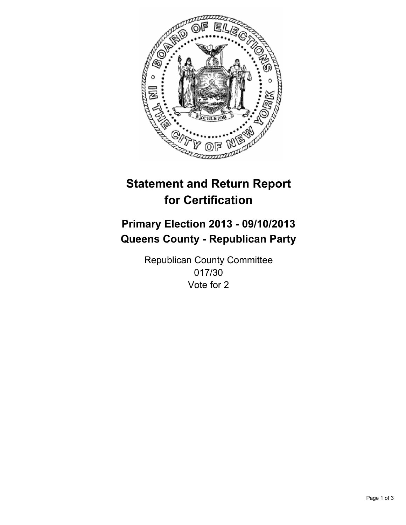

# **Statement and Return Report for Certification**

# **Primary Election 2013 - 09/10/2013 Queens County - Republican Party**

Republican County Committee 017/30 Vote for 2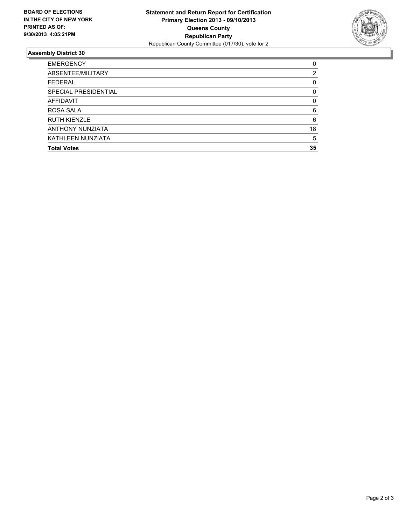

## **Assembly District 30**

| 0        |
|----------|
| 2        |
| 0        |
| 0        |
| $\Omega$ |
| 6        |
| 6        |
| 18       |
| 5        |
| 35       |
|          |